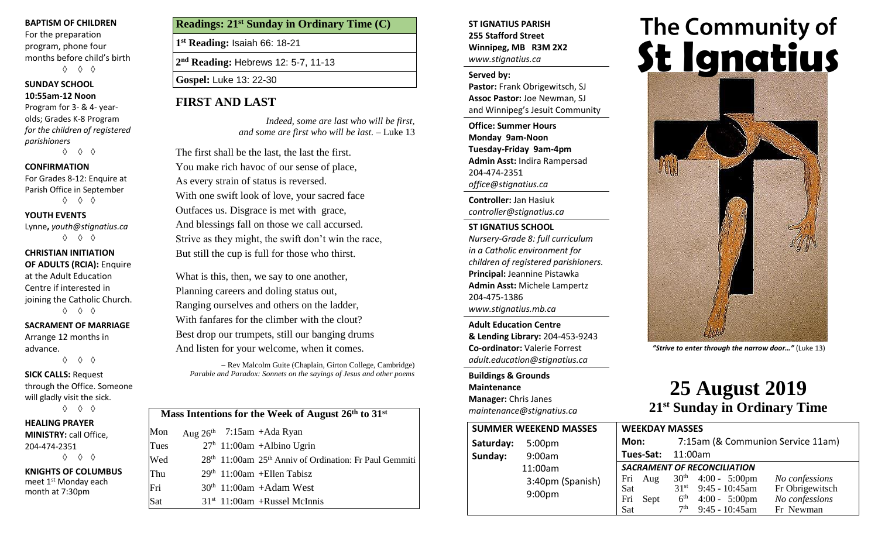#### **BAPTISM OF CHILDREN**

For the preparation program, phone four months before child's birth ◊ ◊ ◊

#### **SUNDAY SCHOOL**

#### **10:55am-12 Noon**

Program for 3- & 4- yearolds; Grades K-8 Program *for the children of registered parishioners*

◊ ◊ ◊

#### **CONFIRMATION**

For Grades 8-12: Enquire at Parish Office in September ◊ ◊ ◊

**YOUTH EVENTS**

Lynne**,** *youth@stignatius.ca* ◊ ◊ ◊

#### **CHRISTIAN INITIATION OF ADULTS (RCIA):** Enquire at the Adult Education Centre if interested in joining the Catholic Church. ◊ ◊ ◊

**SACRAMENT OF MARRIAGE**

Arrange 12 months in advance.

◊ ◊ ◊

**SICK CALLS:** Request through the Office. Someone will gladly visit the sick. ◊ ◊ ◊

**HEALING PRAYER MINISTRY:** call Office, 204-474-2351 ◊ ◊ ◊

**KNIGHTS OF COLUMBUS** meet 1<sup>st</sup> Monday each month at 7:30pm

**Readings: 21 st Sunday in Ordinary Time (C)**

**1 st Reading:** Isaiah 66: 18-21

**2 nd Reading:** Hebrews 12: 5-7, 11-13

**Gospel:** Luke 13: 22-30

## **FIRST AND LAST**

*Indeed, some are last who will be first, and some are first who will be last. –* Luke 13

The first shall be the last, the last the first. You make rich havoc of our sense of place, As every strain of status is reversed. With one swift look of love, your sacred face Outfaces us. Disgrace is met with grace, And blessings fall on those we call accursed. Strive as they might, the swift don't win the race, But still the cup is full for those who thirst.

What is this, then, we say to one another, Planning careers and doling status out, Ranging ourselves and others on the ladder, With fanfares for the climber with the clout? Best drop our trumpets, still our banging drums And listen for your welcome, when it comes.

− Rev Malcolm Guite (Chaplain, Girton College, Cambridge) *Parable and Paradox: Sonnets on the sayings of Jesus and other poems*

| Mass Intentions for the Week of August $26th$ to $31st$ |  |                                                                                |  |  |  |
|---------------------------------------------------------|--|--------------------------------------------------------------------------------|--|--|--|
| Mon                                                     |  | Aug $26th$ 7:15am +Ada Ryan                                                    |  |  |  |
| Tues                                                    |  | $27h$ 11:00am +Albino Ugrin                                                    |  |  |  |
| Wed                                                     |  | 28 <sup>th</sup> 11:00am 25 <sup>th</sup> Anniv of Ordination: Fr Paul Gemmiti |  |  |  |
| Thu                                                     |  | $29th$ 11:00am + Ellen Tabisz                                                  |  |  |  |
| Fri                                                     |  | $30th$ 11:00am +Adam West                                                      |  |  |  |
| Sat                                                     |  | $31st$ 11:00am +Russel McInnis                                                 |  |  |  |

#### **ST IGNATIUS PARISH 255 Stafford Street Winnipeg, MB R3M 2X2** *www.stignatius.ca*

#### **Served by:**

**Pastor:** Frank Obrigewitsch, SJ **Assoc Pastor:** Joe Newman, SJ and Winnipeg's Jesuit Community

**Office: Summer Hours Monday 9am-Noon Tuesday-Friday 9am-4pm Admin Asst:** Indira Rampersad 204-474-2351 *office@stignatius.ca*

**Controller:** Jan Hasiuk *controller@stignatius.ca*

**ST IGNATIUS SCHOOL** *Nursery-Grade 8: full curriculum in a Catholic environment for children of registered parishioners.* **Principal:** Jeannine Pistawka **Admin Asst:** Michele Lampertz 204-475-1386 *www.stignatius.mb.ca*

**Adult Education Centre & Lending Library:** 204-453-9243 **Co-ordinator:** Valerie Forrest *adult.education@stignatius.ca*

**Buildings & Grounds Maintenance Manager:** Chris Janes *maintenance@stignatius.ca*

# The Community of<br>**St Ignatius**



*"Strive to enter through the narrow door…"* (Luke 13)

# **25 August 2019 21 st Sunday in Ordinary Time**

| <b>SUMMER WEEKEND MASSES</b> |                                        | <b>WEEKDAY MASSES</b>                   |                                                                                                                                                                                                                            |  |
|------------------------------|----------------------------------------|-----------------------------------------|----------------------------------------------------------------------------------------------------------------------------------------------------------------------------------------------------------------------------|--|
| Saturday:                    | 5:00 <sub>pm</sub>                     | Mon:                                    | 7:15am (& Communion Service 11am)                                                                                                                                                                                          |  |
| Sunday:                      | 9:00am                                 | Tues-Sat:                               | 11:00am                                                                                                                                                                                                                    |  |
|                              | 11:00am                                | <b>SACRAMENT OF RECONCILIATION</b>      |                                                                                                                                                                                                                            |  |
|                              | 3:40pm (Spanish)<br>9:00 <sub>pm</sub> | Fri<br>Aug<br>Sat<br>Fri<br>Sept<br>Sat | $30^{th}$ 4:00 - 5:00pm<br>No confessions<br>$9:45 - 10:45$ am<br>Fr Obrigewitsch<br>31 <sup>st</sup><br>No confessions<br>6 <sup>th</sup><br>$4:00 - 5:00 \text{pm}$<br>$9:45 - 10:45$ am<br>7 <sup>th</sup><br>Fr Newman |  |